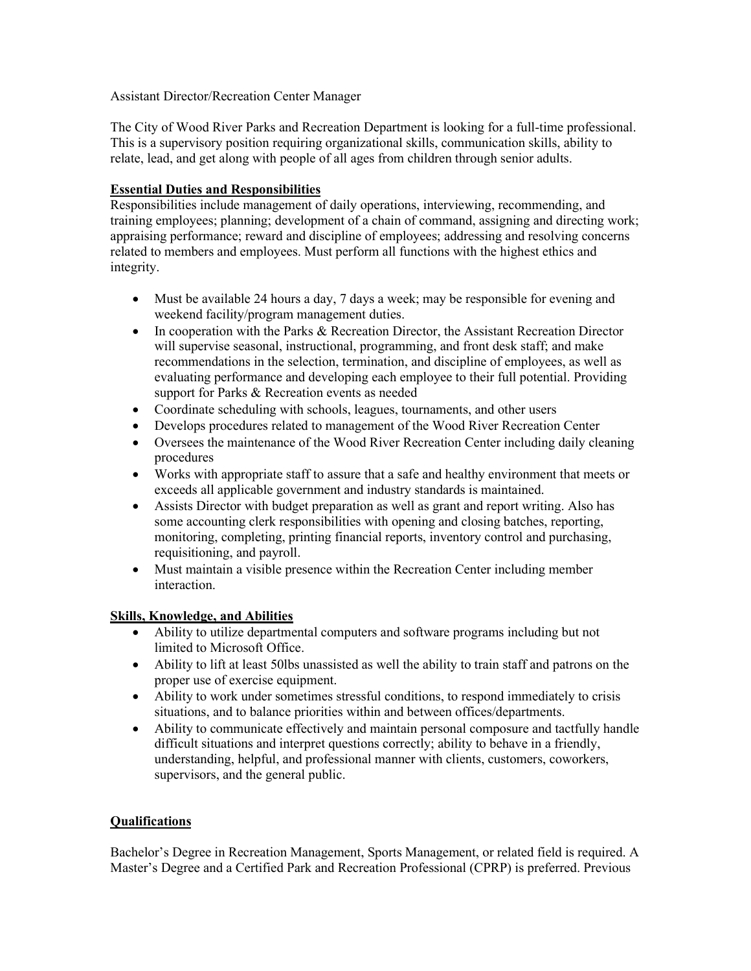## Assistant Director/Recreation Center Manager

The City of Wood River Parks and Recreation Department is looking for a full-time professional. This is a supervisory position requiring organizational skills, communication skills, ability to relate, lead, and get along with people of all ages from children through senior adults.

## **Essential Duties and Responsibilities**

Responsibilities include management of daily operations, interviewing, recommending, and training employees; planning; development of a chain of command, assigning and directing work; appraising performance; reward and discipline of employees; addressing and resolving concerns related to members and employees. Must perform all functions with the highest ethics and integrity.

- Must be available 24 hours a day, 7 days a week; may be responsible for evening and weekend facility/program management duties.
- In cooperation with the Parks & Recreation Director, the Assistant Recreation Director will supervise seasonal, instructional, programming, and front desk staff; and make recommendations in the selection, termination, and discipline of employees, as well as evaluating performance and developing each employee to their full potential. Providing support for Parks & Recreation events as needed
- Coordinate scheduling with schools, leagues, tournaments, and other users
- Develops procedures related to management of the Wood River Recreation Center
- Oversees the maintenance of the Wood River Recreation Center including daily cleaning procedures
- Works with appropriate staff to assure that a safe and healthy environment that meets or exceeds all applicable government and industry standards is maintained.
- Assists Director with budget preparation as well as grant and report writing. Also has some accounting clerk responsibilities with opening and closing batches, reporting, monitoring, completing, printing financial reports, inventory control and purchasing, requisitioning, and payroll.
- Must maintain a visible presence within the Recreation Center including member interaction.

## **Skills, Knowledge, and Abilities**

- Ability to utilize departmental computers and software programs including but not limited to Microsoft Office.
- Ability to lift at least 50lbs unassisted as well the ability to train staff and patrons on the proper use of exercise equipment.
- Ability to work under sometimes stressful conditions, to respond immediately to crisis situations, and to balance priorities within and between offices/departments.
- Ability to communicate effectively and maintain personal composure and tactfully handle difficult situations and interpret questions correctly; ability to behave in a friendly, understanding, helpful, and professional manner with clients, customers, coworkers, supervisors, and the general public.

## **Qualifications**

Bachelor's Degree in Recreation Management, Sports Management, or related field is required. A Master's Degree and a Certified Park and Recreation Professional (CPRP) is preferred. Previous